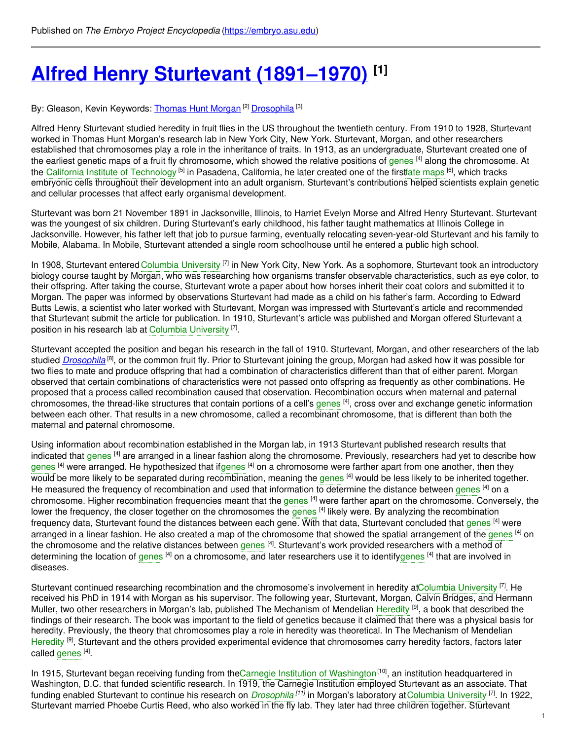# **Alfred Henry Sturtevant [\(1891–1970\)](https://embryo.asu.edu/pages/alfred-henry-sturtevant-1891-1970) [1]**

By: Gleason, Kevin Keywords: <u>[Thomas](https://embryo.asu.edu/keywords/thomas-hunt-morgan) Hunt Morgan [2] [Drosophila](https://embryo.asu.edu/keywords/drosophila)</u> [3]

Alfred Henry Sturtevant studied heredity in fruit flies in the US throughout the twentieth century. From 1910 to 1928, Sturtevant worked in Thomas Hunt Morgan's research lab in New York City, New York. Sturtevant, Morgan, and other researchers established that chromosomes play a role in the inheritance of traits. In 1913, as an undergraduate, Sturtevant created one of the earliest genetic maps of a fruit fly chromosome, which showed the relative positions of [genes](https://embryo.asu.edu/search?text=genes) <sup>[4]</sup> along the chromosome. At the California Institute of [Technology](https://embryo.asu.edu/search?text=California%20Institute%20of%20Technology) <sup>[5]</sup> in Pasadena, California, he later created one of the firstfate [maps](https://embryo.asu.edu/search?text=fate%20maps) <sup>[6]</sup>, which tracks embryonic cells throughout their development into an adult organism. Sturtevant's contributions helped scientists explain genetic and cellular processes that affect early organismal development.

Sturtevant was born 21 November 1891 in Jacksonville, Illinois, to Harriet Evelyn Morse and Alfred Henry Sturtevant. Sturtevant was the youngest of six children. During Sturtevant's early childhood, his father taught mathematics at Illinois College in Jacksonville. However, his father left that job to pursue farming, eventually relocating seven-year-old Sturtevant and his family to Mobile, Alabama. In Mobile, Sturtevant attended a single room schoolhouse until he entered a public high school.

In 1908, Sturtevant entered Columbia [University](https://embryo.asu.edu/search?text=Columbia%20University) <sup>[7]</sup> in New York City, New York. As a sophomore, Sturtevant took an introductory biology course taught by Morgan, who was researching how organisms transfer observable characteristics, such as eye color, to their offspring. After taking the course, Sturtevant wrote a paper about how horses inherit their coat colors and submitted it to Morgan. The paper was informed by observations Sturtevant had made as a child on his father's farm. According to Edward Butts Lewis, a scientist who later worked with Sturtevant, Morgan was impressed with Sturtevant's article and recommended that Sturtevant submit the article for publication. In 1910, Sturtevant's article was published and Morgan offered Sturtevant a position in his research lab at Columbia [University](https://embryo.asu.edu/search?text=Columbia%20University)<sup>[7]</sup>.

Sturtevant accepted the position and began his research in the fall of 1910. Sturtevant, Morgan, and other researchers of the lab studied *[Drosophila](http://eol.org/pages/54522/overview)* <sup>[8]</sup>, or the common fruit fly. Prior to Sturtevant joining the group, Morgan had asked how it was possible for two flies to mate and produce offspring that had a combination of characteristics different than that of either parent. Morgan observed that certain combinations of characteristics were not passed onto offspring as frequently as other combinations. He proposed that a process called recombination caused that observation. Recombination occurs when maternal and paternal chromosomes, the thread-like structures that contain portions of a cell's [genes](https://embryo.asu.edu/search?text=genes) [4], cross over and exchange genetic information between each other. That results in a new chromosome, called a recombinant chromosome, that is different than both the maternal and paternal chromosome.

Using information about recombination established in the Morgan lab, in 1913 Sturtevant published research results that indicated that [genes](https://embryo.asu.edu/search?text=genes) <sup>[4]</sup> are arranged in a linear fashion along the chromosome. Previously, researchers had yet to describe how [genes](https://embryo.asu.edu/search?text=genes) <sup>[4]</sup> were arranged. He hypothesized that i[fgenes](https://embryo.asu.edu/search?text=genes) <sup>[4]</sup> on a chromosome were farther apart from one another, then they would be more likely to be separated during recombination, meaning the [genes](https://embryo.asu.edu/search?text=genes) <sup>[4]</sup> would be less likely to be inherited together. He measured the frequency of recombination and used that information to determine the distance between [genes](https://embryo.asu.edu/search?text=genes) <sup>[4]</sup> on a chromosome. Higher recombination frequencies meant that the [genes](https://embryo.asu.edu/search?text=genes) <sup>[4]</sup> were farther apart on the chromosome. Conversely, the lower the frequency, the closer together on the chromosomes the [genes](https://embryo.asu.edu/search?text=genes) <sup>[4]</sup> likely were. By analyzing the recombination frequency data, Sturtevant found the distances between each gene. With that data, Sturtevant concluded that [genes](https://embryo.asu.edu/search?text=genes) <sup>[4]</sup> were arranged in a linear fashion. He also created a map of the chromosome that showed the spatial arrangement of the [genes](https://embryo.asu.edu/search?text=genes) <sup>[4]</sup> on the chromosome and the relative distances between [genes](https://embryo.asu.edu/search?text=genes) <sup>[4]</sup>. Sturtevant's work provided researchers with a method of determining the location of [genes](https://embryo.asu.edu/search?text=genes) <sup>[4]</sup> on a chromosome, and later researchers use it to identif[ygenes](https://embryo.asu.edu/search?text=genes) <sup>[4]</sup> that are involved in diseases.

Sturtevant continued researching recombination and the chromosome's involvement in heredity atColumbia [University](https://embryo.asu.edu/search?text=Columbia%20University) <sup>[7]</sup>. He received his PhD in 1914 with Morgan as his supervisor. The following year, Sturtevant, Morgan, Calvin Bridges, and Hermann Muller, two other researchers in Morgan's lab, published The Mechanism of Mendelian [Heredity](https://embryo.asu.edu/search?text=Heredity) <sup>[9]</sup>, a book that described the findings of their research. The book was important to the field of genetics because it claimed that there was a physical basis for heredity. Previously, the theory that chromosomes play a role in heredity was theoretical. In The Mechanism of Mendelian [Heredity](https://embryo.asu.edu/search?text=Heredity) <sup>[9]</sup>, Sturtevant and the others provided experimental evidence that chromosomes carry heredity factors, factors later called [genes](https://embryo.asu.edu/search?text=genes) <sup>[4]</sup>.

In 1915, Sturtevant began receiving funding from theCarnegie Institution of [Washington](https://embryo.asu.edu/search?text=Carnegie%20Institution%20of%20Washington)<sup>[10]</sup>, an institution headquartered in Washington, D.C. that funded scientific research. In 1919, the Carnegie Institution employed Sturtevant as an associate. That funding enabled Sturtevant to continue his research on *[Drosophila](https://embryo.asu.edu/search?text=Drosophila)* <sup>[11]</sup> in Morgan's laboratory at Columbia [University](https://embryo.asu.edu/search?text=Columbia%20University) <sup>[7]</sup>. In 1922, Sturtevant married Phoebe Curtis Reed, who also worked in the fly lab. They later had three children together. Sturtevant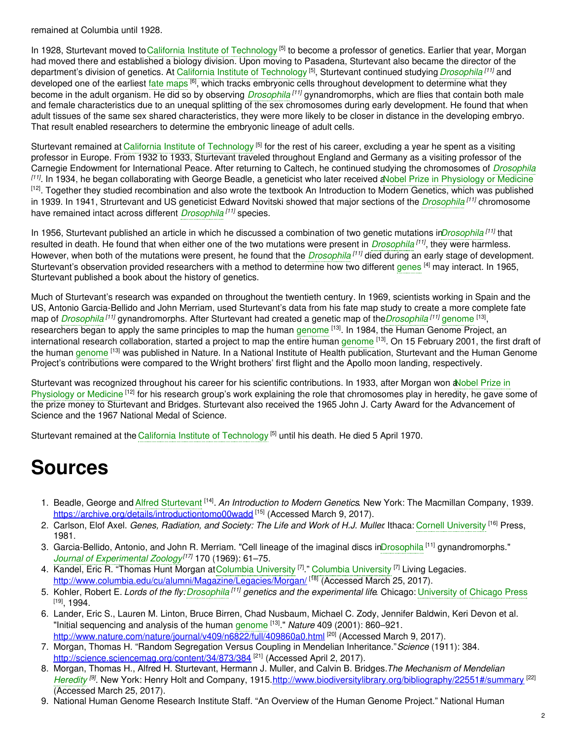remained at Columbia until 1928.

In 1928, Sturtevant moved to California Institute of [Technology](https://embryo.asu.edu/search?text=California%20Institute%20of%20Technology) <sup>[5]</sup> to become a professor of genetics. Earlier that year, Morgan had moved there and established a biology division. Upon moving to Pasadena, Sturtevant also became the director of the department's division of genetics. At California Institute of [Technology](https://embryo.asu.edu/search?text=California%20Institute%20of%20Technology) [5], Sturtevant continued studying *[Drosophila](https://embryo.asu.edu/search?text=Drosophila)* [11] and developed one of the earliest fate [maps](https://embryo.asu.edu/search?text=fate%20maps) <sup>[6]</sup>, which tracks embryonic cells throughout development to determine what they become in the adult organism. He did so by observing *[Drosophila](https://embryo.asu.edu/search?text=Drosophila) <sup>[11]</sup>* gynandromorphs, which are flies that contain both male and female characteristics due to an unequal splitting of the sex chromosomes during early development. He found that when adult tissues of the same sex shared characteristics, they were more likely to be closer in distance in the developing embryo. That result enabled researchers to determine the embryonic lineage of adult cells.

Sturtevant remained at California Institute of [Technology](https://embryo.asu.edu/search?text=California%20Institute%20of%20Technology) <sup>[5]</sup> for the rest of his career, excluding a year he spent as a visiting professor in Europe. From 1932 to 1933, Sturtevant traveled throughout England and Germany as a visiting professor of the Carnegie Endowment for International Peace. After returning to Caltech, he continued studying the chromosomes of *[Drosophila](https://embryo.asu.edu/search?text=Drosophila) [11]* . In 1934, he began collaborating with George Beadle, a geneticist who later received aNobel Prize in [Physiology](https://embryo.asu.edu/search?text=Nobel%20Prize%20in%20Physiology%20or%20Medicine) or Medicine <sup>[12]</sup>. Together they studied recombination and also wrote the textbook An Introduction to Modern Genetics, which was published in 1939. In 1941, Strurtevant and US geneticist Edward Novitski showed that major sections of the *[Drosophila](https://embryo.asu.edu/search?text=Drosophila) [11]* chromosome have remained intact across different *[Drosophila](https://embryo.asu.edu/search?text=Drosophila) [11]* species.

In 1956, Sturtevant published an article in which he discussed a combination of two genetic mutations in*[Drosophila](https://embryo.asu.edu/search?text=Drosophila) [11]* that resulted in death. He found that when either one of the two mutations were present in *[Drosophila](https://embryo.asu.edu/search?text=Drosophila) [11]* , they were harmless. However, when both of the mutations were present, he found that the *[Drosophila](https://embryo.asu.edu/search?text=Drosophila) [11]* died during an early stage of development. Sturtevant's observation provided researchers with a method to determine how two different [genes](https://embryo.asu.edu/search?text=genes) <sup>[4]</sup> may interact. In 1965, Sturtevant published a book about the history of genetics.

Much of Sturtevant's research was expanded on throughout the twentieth century. In 1969, scientists working in Spain and the US, Antonio Garcia-Bellido and John Merriam, used Sturtevant's data from his fate map study to create a more complete fate map of *[Drosophila](https://embryo.asu.edu/search?text=Drosophila)* [11] gynandromorphs. After Sturtevant had created a genetic map of the*Drosophila* [11] [genome](https://embryo.asu.edu/search?text=genome) [13], researchers began to apply the same principles to map the human [genome](https://embryo.asu.edu/search?text=genome) [13]. In 1984, the Human Genome Project, an international research collaboration, started a project to map the entire human [genome](https://embryo.asu.edu/search?text=genome) [13]. On 15 February 2001, the first draft of the human [genome](https://embryo.asu.edu/search?text=genome) [13] was published in Nature. In a National Institute of Health publication, Sturtevant and the Human Genome Project's contributions were compared to the Wright brothers' first flight and the Apollo moon landing, respectively.

Sturtevant was recognized throughout his career for his scientific contributions. In 1933, after Morgan won aNobel Prize in Physiology or Medicine <sup>[12]</sup> for his research group's work explaining the role that [chromosomes](https://embryo.asu.edu/search?text=Nobel%20Prize%20in%20Physiology%20or%20Medicine) play in heredity, he gave some of the prize money to Sturtevant and Bridges. Sturtevant also received the 1965 John J. Carty Award for the Advancement of Science and the 1967 National Medal of Science.

Sturtevant remained at the California Institute of [Technology](https://embryo.asu.edu/search?text=California%20Institute%20of%20Technology)<sup>[5]</sup> until his death. He died 5 April 1970.

## **Sources**

- 1. Beadle, George and Alfred [Sturtevant](https://embryo.asu.edu/search?text=Alfred%20Sturtevant) <sup>[14]</sup>. An Introduction to Modern Genetics. New York: The Macmillan Company, 1939. <https://archive.org/details/introductiontomo00wadd> [15] (Accessed March 9, 2017).
- 2. Carlson, Elof Axel. *Genes, Radiation, and Society: The Life and Work of H.J. Muller*. Ithaca: Cornell [University](https://embryo.asu.edu/search?text=Cornell%20University) [16] Press, 1981.
- 3. Garcia-Bellido, Antonio, and John R. Merriam. "Cell lineage of the imaginal discs i[nDrosophila](https://embryo.asu.edu/search?text=Drosophila) <sup>[11]</sup> gynandromorphs." *Journal of [Experimental](https://embryo.asu.edu/search?text=Journal%20of%20Experimental%20Zoology) Zoology [17]* 170 (1969): 61–75.
- 4. Kandel, Eric R. "Thomas Hunt Morgan atColumbia [University](https://embryo.asu.edu/search?text=Columbia%20University) <sup>[7]</sup>." Columbia University <sup>[7]</sup> Living Legacies. <http://www.columbia.edu/cu/alumni/Magazine/Legacies/Morgan/> [18] (Accessed March 25, 2017).
- 5. Kohler, Robert E. *Lords of the fly:[Drosophila](https://embryo.asu.edu/search?text=Drosophila) [11] genetics and the experimental life*. Chicago: [University](https://embryo.asu.edu/search?text=University%20of%20Chicago%20Press) of Chicago Press <sup>[19]</sup>, 1994.
- 6. Lander, Eric S., Lauren M. Linton, Bruce Birren, Chad Nusbaum, Michael C. Zody, Jennifer Baldwin, Keri Devon et al. "Initial sequencing and analysis of the human [genome](https://embryo.asu.edu/search?text=genome) [13] ." *Nature* 409 (2001): 860–921. <http://www.nature.com/nature/journal/v409/n6822/full/409860a0.html><sup>[20]</sup> (Accessed March 9, 2017).
- 7. Morgan, Thomas H. "Random Segregation Versus Coupling in Mendelian Inheritance."*Science* (1911): 384. <http://science.sciencemag.org/content/34/873/384><sup>[21]</sup> (Accessed April 2, 2017).
- 8. Morgan, Thomas H., Alfred H. Sturtevant, Hermann J. Muller, and Calvin B. Bridges.*The Mechanism of Mendelian* [Heredity](https://embryo.asu.edu/search?text=Heredity)<sup>[9]</sup>. New York: Henry Holt and Company, 1915.<http://www.biodiversitylibrary.org/bibliography/22551#/summary> <sup>[22]</sup> (Accessed March 25, 2017).
- 9. National Human Genome Research Institute Staff. "An Overview of the Human Genome Project." National Human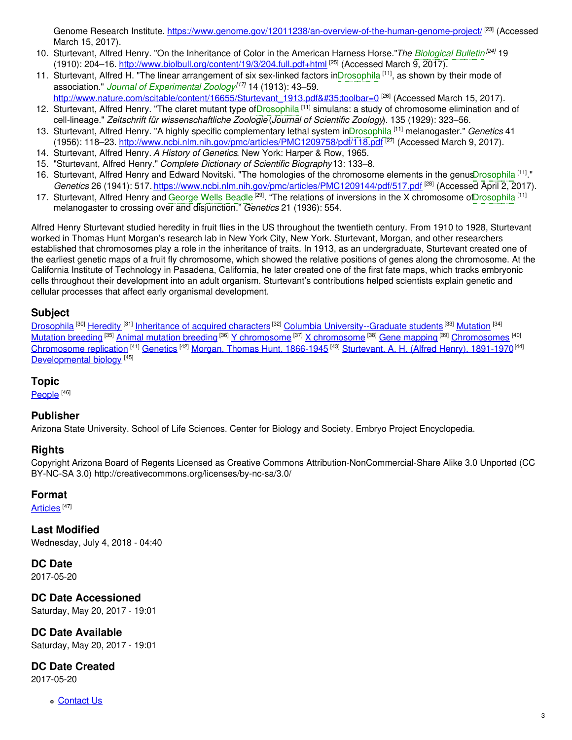Genome Research Institute. <https://www.genome.gov/12011238/an-overview-of-the-human-genome-project/> [23] (Accessed March 15, 2017).

- 10. Sturtevant, Alfred Henry. "On the Inheritance of Color in the American Harness Horse."*The [Biological](https://embryo.asu.edu/search?text=Biological%20Bulletin) Bulletin [24]* 19 (1910): 204–16. <http://www.biolbull.org/content/19/3/204.full.pdf+html> <sup>[25]</sup> (Accessed March 9, 2017).
- 11. Sturtevant, Alfred H. "The linear arrangement of six sex-linked factors in[Drosophila](https://embryo.asu.edu/search?text=Drosophila) <sup>[11]</sup>, as shown by their mode of association." *Journal of [Experimental](https://embryo.asu.edu/search?text=Journal%20of%20Experimental%20Zoology) Zoology [17]* 14 (1913): 43–59.

[http://www.nature.com/scitable/content/16655/Sturtevant\\_1913.pdf#toolbar=0](http://www.nature.com/scitable/content/16655/Sturtevant_1913.pdf#toolbar=0) <sup>[26]</sup> (Accessed March 15, 2017).

- 12. Sturtevant, Alfred Henry. "The claret mutant type o[fDrosophila](https://embryo.asu.edu/search?text=Drosophila)<sup>[11]</sup> simulans: a study of chromosome elimination and of cell-lineage." *Zeitschrift für wissenschaftliche Zoologie* (*Journal of Scientific Zoology*). 135 (1929): 323–56.
- 13. Sturtevant, Alfred Henry. "A highly specific complementary lethal system i[nDrosophila](https://embryo.asu.edu/search?text=Drosophila) [11] melanogaster." *Genetics* 41 (1956): 118–23. <http://www.ncbi.nlm.nih.gov/pmc/articles/PMC1209758/pdf/118.pdf> [27] (Accessed March 9, 2017).
- 14. Sturtevant, Alfred Henry. *A History of Genetics*. New York: Harper & Row, 1965.
- 15. "Sturtevant, Alfred Henry." *Complete Dictionary of Scientific Biography*13: 133–8.
- 16. Sturtevant, Alfred Henry and Edward Novitski. "The homologies of the chromosome elements in the genu[sDrosophila](https://embryo.asu.edu/search?text=Drosophila)<sup>[11]</sup>." *Genetics* 26 (1941): 517. <https://www.ncbi.nlm.nih.gov/pmc/articles/PMC1209144/pdf/517.pdf> [28] (Accessed April 2, 2017).
- 17. Sturtevant, Alfred Henry and [George](https://embryo.asu.edu/search?text=George%20Wells%20Beadle) Wells Beadle<sup>[29]</sup>. "The relations of inversions in the X chromosome o[fDrosophila](https://embryo.asu.edu/search?text=Drosophila)<sup>[11]</sup> melanogaster to crossing over and disjunction." *Genetics* 21 (1936): 554.

Alfred Henry Sturtevant studied heredity in fruit flies in the US throughout the twentieth century. From 1910 to 1928, Sturtevant worked in Thomas Hunt Morgan's research lab in New York City, New York. Sturtevant, Morgan, and other researchers established that chromosomes play a role in the inheritance of traits. In 1913, as an undergraduate, Sturtevant created one of the earliest genetic maps of a fruit fly chromosome, which showed the relative positions of genes along the chromosome. At the California Institute of Technology in Pasadena, California, he later created one of the first fate maps, which tracks embryonic cells throughout their development into an adult organism. Sturtevant's contributions helped scientists explain genetic and cellular processes that affect early organismal development.

### **Subject**

[Drosophila](https://embryo.asu.edu/library-congress-subject-headings/drosophila) <sup>[30]</sup> [Heredity](https://embryo.asu.edu/library-congress-subject-headings/heredity) <sup>[31]</sup> [Inheritance](https://embryo.asu.edu/library-congress-subject-headings/inheritance-acquired-characters) of acquired characters <sup>[32]</sup> Columbia [University--Graduate](https://embryo.asu.edu/library-congress-subject-headings/columbia-university-graduate-students) students <sup>[33]</sup> [Mutation](https://embryo.asu.edu/library-congress-subject-headings/mutation) <sup>[34]</sup> [Mutation](https://embryo.asu.edu/library-congress-subject-headings/mutation-breeding) breeding <sup>[35]</sup> Animal [mutation](https://embryo.asu.edu/library-congress-subject-headings/animal-mutation-breeding) breeding <sup>[36]</sup> Y [chromosome](https://embryo.asu.edu/library-congress-subject-headings/x-chromosome) <sup>[37]</sup> X chromosome <sup>[38]</sup> Gene [mapping](https://embryo.asu.edu/library-congress-subject-headings/gene-mapping) <sup>[39]</sup> [Chromosomes](https://embryo.asu.edu/library-congress-subject-headings/chromosomes) <sup>[40]</sup> [Chromosome](https://embryo.asu.edu/library-congress-subject-headings/chromosome-replication) replication <sup>[41]</sup> [Genetics](https://embryo.asu.edu/library-congress-subject-headings/genetics) <sup>[42]</sup> Morgan, Thomas Hunt, [1866-1945](https://embryo.asu.edu/library-congress-subject-headings/morgan-thomas-hunt-1866-1945) <sup>[43]</sup> [Sturtevant,](https://embryo.asu.edu/library-congress-subject-headings/sturtevant-h-alfred-henry-1891-1970) A. H. (Alfred Henry), 1891-1970<sup>[44]</sup> [Developmental](https://embryo.asu.edu/library-congress-subject-headings/developmental-biology) biology<sup>[45]</sup>

#### **Topic**

[People](https://embryo.asu.edu/topics/people)<sup>[46]</sup>

#### **Publisher**

Arizona State University. School of Life Sciences. Center for Biology and Society. Embryo Project Encyclopedia.

#### **Rights**

Copyright Arizona Board of Regents Licensed as Creative Commons Attribution-NonCommercial-Share Alike 3.0 Unported (CC BY-NC-SA 3.0) http://creativecommons.org/licenses/by-nc-sa/3.0/

#### **Format**

[Articles](https://embryo.asu.edu/formats/articles) <sup>[47]</sup>

**Last Modified** Wednesday, July 4, 2018 - 04:40

**DC Date** 2017-05-20

**DC Date Accessioned** Saturday, May 20, 2017 - 19:01

**DC Date Available** Saturday, May 20, 2017 - 19:01

**DC Date Created**

2017-05-20

[Contact](https://embryo.asu.edu/contact) Us